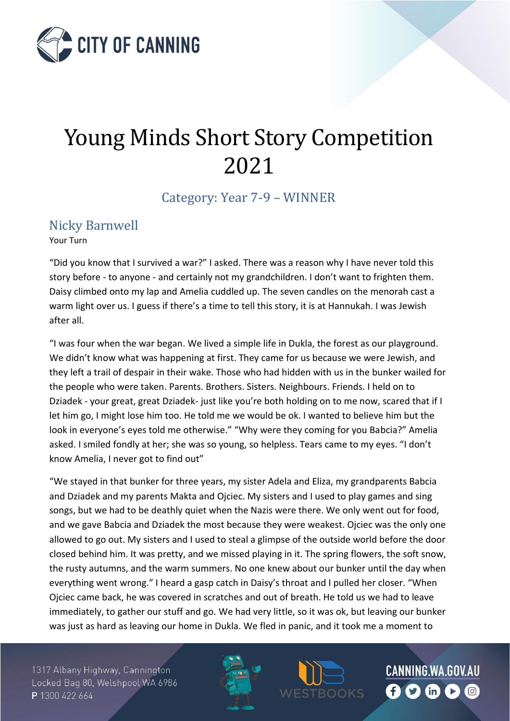

## Young Minds Short Story Competition 2021

Category: Year 7-9 – WINNER

## Nicky Barnwell

Your Turn

"Did you know that I survived a war?" I asked. There was a reason why I have never told this story before - to anyone - and certainly not my grandchildren. I don't want to frighten them. Daisy climbed onto my lap and Amelia cuddled up. The seven candles on the menorah cast a warm light over us. I guess if there's a time to tell this story, it is at Hannukah. I was Jewish after all.

"I was four when the war began. We lived a simple life in Dukla, the forest as our playground. We didn't know what was happening at first. They came for us because we were Jewish, and they left a trail of despair in their wake. Those who had hidden with us in the bunker wailed for the people who were taken. Parents. Brothers. Sisters. Neighbours. Friends. I held on to Dziadek - your great, great Dziadek- just like you're both holding on to me now, scared that if I let him go, I might lose him too. He told me we would be ok. I wanted to believe him but the look in everyone's eyes told me otherwise." "Why were they coming for you Babcia?" Amelia asked. I smiled fondly at her; she was so young, so helpless. Tears came to my eyes. "I don't know Amelia, I never got to find out"

"We stayed in that bunker for three years, my sister Adela and Eliza, my grandparents Babcia and Dziadek and my parents Makta and Ojciec. My sisters and I used to play games and sing songs, but we had to be deathly quiet when the Nazis were there. We only went out for food, and we gave Babcia and Dziadek the most because they were weakest. Ojciec was the only one allowed to go out. My sisters and I used to steal a glimpse of the outside world before the door closed behind him. It was pretty, and we missed playing in it. The spring flowers, the soft snow, the rusty autumns, and the warm summers. No one knew about our bunker until the day when everything went wrong." I heard a gasp catch in Daisy's throat and I pulled her closer. "When Ojciec came back, he was covered in scratches and out of breath. He told us we had to leave immediately, to gather our stuff and go. We had very little, so it was ok, but leaving our bunker was just as hard as leaving our home in Dukla. We fled in panic, and it took me a moment to

1317 Albany Highway, Cannington Locked Bag 80, Welshpool WA 6986 P 1300 422 664



CANNING.WA.GOV.AU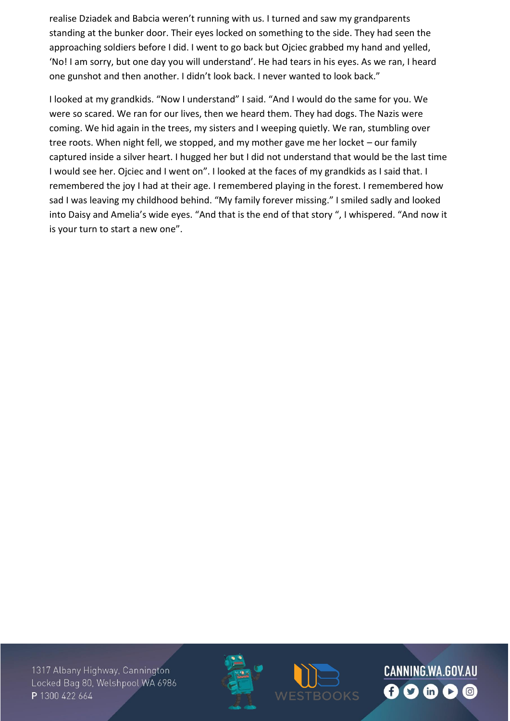realise Dziadek and Babcia weren't running with us. I turned and saw my grandparents standing at the bunker door. Their eyes locked on something to the side. They had seen the approaching soldiers before I did. I went to go back but Ojciec grabbed my hand and yelled, 'No! I am sorry, but one day you will understand'. He had tears in his eyes. As we ran, I heard one gunshot and then another. I didn't look back. I never wanted to look back."

I looked at my grandkids. "Now I understand" I said. "And I would do the same for you. We were so scared. We ran for our lives, then we heard them. They had dogs. The Nazis were coming. We hid again in the trees, my sisters and I weeping quietly. We ran, stumbling over tree roots. When night fell, we stopped, and my mother gave me her locket – our family captured inside a silver heart. I hugged her but I did not understand that would be the last time I would see her. Ojciec and I went on". I looked at the faces of my grandkids as I said that. I remembered the joy I had at their age. I remembered playing in the forest. I remembered how sad I was leaving my childhood behind. "My family forever missing." I smiled sadly and looked into Daisy and Amelia's wide eyes. "And that is the end of that story ", I whispered. "And now it is your turn to start a new one".

1317 Albany Highway, Cannington Locked Bag 80, Welshpool WA 6986 P 1300 422 664





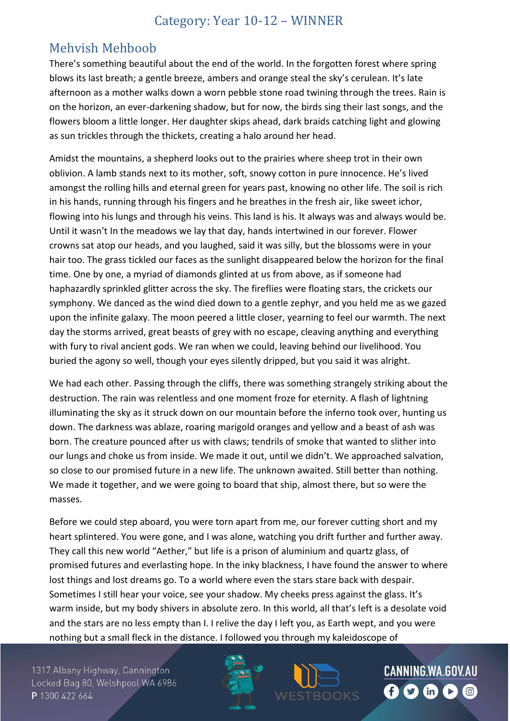## Category: Year 10-12 – WINNER

## Mehvish Mehboob

There's something beautiful about the end of the world. In the forgotten forest where spring blows its last breath; a gentle breeze, ambers and orange steal the sky's cerulean. It's late afternoon as a mother walks down a worn pebble stone road twining through the trees. Rain is on the horizon, an ever-darkening shadow, but for now, the birds sing their last songs, and the flowers bloom a little longer. Her daughter skips ahead, dark braids catching light and glowing as sun trickles through the thickets, creating a halo around her head.

Amidst the mountains, a shepherd looks out to the prairies where sheep trot in their own oblivion. A lamb stands next to its mother, soft, snowy cotton in pure innocence. He's lived amongst the rolling hills and eternal green for years past, knowing no other life. The soil is rich in his hands, running through his fingers and he breathes in the fresh air, like sweet ichor, flowing into his lungs and through his veins. This land is his. It always was and always would be. Until it wasn't In the meadows we lay that day, hands intertwined in our forever. Flower crowns sat atop our heads, and you laughed, said it was silly, but the blossoms were in your hair too. The grass tickled our faces as the sunlight disappeared below the horizon for the final time. One by one, a myriad of diamonds glinted at us from above, as if someone had haphazardly sprinkled glitter across the sky. The fireflies were floating stars, the crickets our symphony. We danced as the wind died down to a gentle zephyr, and you held me as we gazed upon the infinite galaxy. The moon peered a little closer, yearning to feel our warmth. The next day the storms arrived, great beasts of grey with no escape, cleaving anything and everything with fury to rival ancient gods. We ran when we could, leaving behind our livelihood. You buried the agony so well, though your eyes silently dripped, but you said it was alright.

We had each other. Passing through the cliffs, there was something strangely striking about the destruction. The rain was relentless and one moment froze for eternity. A flash of lightning illuminating the sky as it struck down on our mountain before the inferno took over, hunting us down. The darkness was ablaze, roaring marigold oranges and yellow and a beast of ash was born. The creature pounced after us with claws; tendrils of smoke that wanted to slither into our lungs and choke us from inside. We made it out, until we didn't. We approached salvation, so close to our promised future in a new life. The unknown awaited. Still better than nothing. We made it together, and we were going to board that ship, almost there, but so were the masses.

Before we could step aboard, you were torn apart from me, our forever cutting short and my heart splintered. You were gone, and I was alone, watching you drift further and further away. They call this new world "Aether," but life is a prison of aluminium and quartz glass, of promised futures and everlasting hope. In the inky blackness, I have found the answer to where lost things and lost dreams go. To a world where even the stars stare back with despair. Sometimes I still hear your voice, see your shadow. My cheeks press against the glass. It's warm inside, but my body shivers in absolute zero. In this world, all that's left is a desolate void and the stars are no less empty than I. I relive the day I left you, as Earth wept, and you were nothing but a small fleck in the distance. I followed you through my kaleidoscope of

1317 Albany Highway, Cannington Locked Bag 80, Welshpool WA 6986 P 1300 422 664





CANNING.WA.GOV.AU